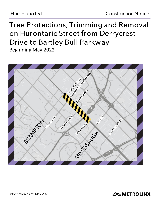# **Tree Protections, Trimming and Removal on Hurontario Street from Derrycrest Drive to Bartley Bull Parkway**

Beginning May 2022